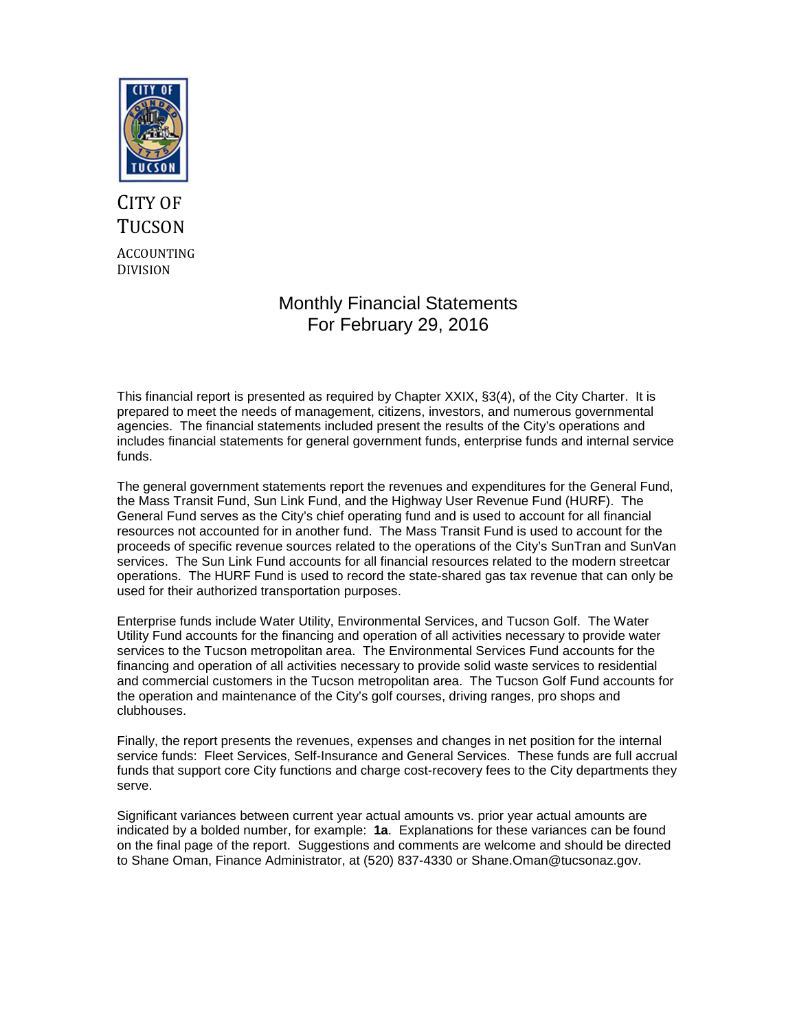

# CITY OF **TUCSON** ACCOUNTING DIVISION

# Monthly Financial Statements For February 29, 2016

This financial report is presented as required by Chapter XXIX, §3(4), of the City Charter. It is prepared to meet the needs of management, citizens, investors, and numerous governmental agencies. The financial statements included present the results of the City's operations and includes financial statements for general government funds, enterprise funds and internal service funds.

The general government statements report the revenues and expenditures for the General Fund, the Mass Transit Fund, Sun Link Fund, and the Highway User Revenue Fund (HURF). The General Fund serves as the City's chief operating fund and is used to account for all financial resources not accounted for in another fund. The Mass Transit Fund is used to account for the proceeds of specific revenue sources related to the operations of the City's SunTran and SunVan services. The Sun Link Fund accounts for all financial resources related to the modern streetcar operations. The HURF Fund is used to record the state-shared gas tax revenue that can only be used for their authorized transportation purposes.

Enterprise funds include Water Utility, Environmental Services, and Tucson Golf. The Water Utility Fund accounts for the financing and operation of all activities necessary to provide water services to the Tucson metropolitan area. The Environmental Services Fund accounts for the financing and operation of all activities necessary to provide solid waste services to residential and commercial customers in the Tucson metropolitan area. The Tucson Golf Fund accounts for the operation and maintenance of the City's golf courses, driving ranges, pro shops and clubhouses.

Finally, the report presents the revenues, expenses and changes in net position for the internal service funds: Fleet Services, Self-Insurance and General Services. These funds are full accrual funds that support core City functions and charge cost-recovery fees to the City departments they serve.

Significant variances between current year actual amounts vs. prior year actual amounts are indicated by a bolded number, for example: **1a**. Explanations for these variances can be found on the final page of the report. Suggestions and comments are welcome and should be directed to Shane Oman, Finance Administrator, at (520) 837-4330 or Shane.Oman@tucsonaz.gov.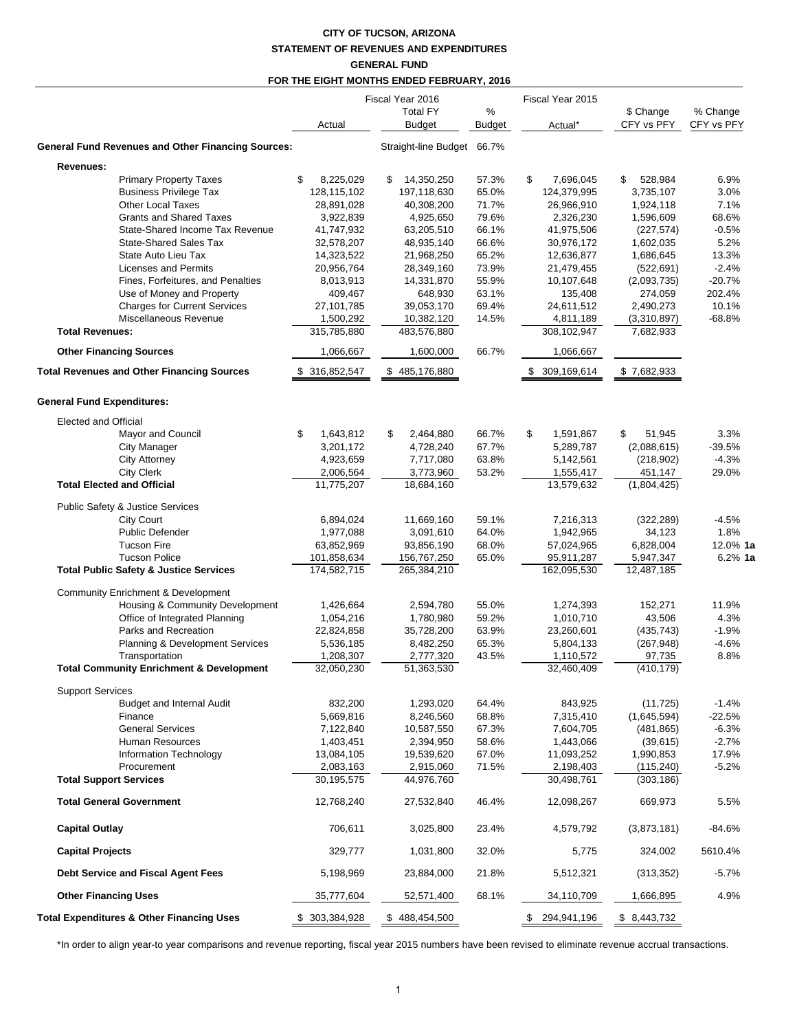# **CITY OF TUCSON, ARIZONA STATEMENT OF REVENUES AND EXPENDITURES GENERAL FUND**

|                                                           |                 | FOR THE EIGHT MONTHS ENDED FEBRUARY, 2016            |             |                             |                         |                        |
|-----------------------------------------------------------|-----------------|------------------------------------------------------|-------------|-----------------------------|-------------------------|------------------------|
|                                                           | Actual          | Fiscal Year 2016<br><b>Total FY</b><br><b>Budget</b> | %<br>Budget | Fiscal Year 2015<br>Actual* | \$ Change<br>CFY vs PFY | % Change<br>CFY vs PFY |
| <b>General Fund Revenues and Other Financing Sources:</b> |                 | Straight-line Budget 66.7%                           |             |                             |                         |                        |
| Revenues:                                                 |                 |                                                      |             |                             |                         |                        |
| <b>Primary Property Taxes</b>                             | \$<br>8,225,029 | 14,350,250<br>S                                      | 57.3%       | \$<br>7,696,045             | 528,984<br>S            | 6.9%                   |
| <b>Business Privilege Tax</b>                             | 128,115,102     | 197,118,630                                          | 65.0%       | 124,379,995                 | 3,735,107               | 3.0%                   |
| <b>Other Local Taxes</b>                                  | 28,891,028      | 40,308,200                                           | 71.7%       | 26,966,910                  | 1,924,118               | 7.1%                   |
| <b>Grants and Shared Taxes</b>                            | 3,922,839       | 4,925,650                                            | 79.6%       | 2,326,230                   | 1,596,609               | 68.6%                  |
| State-Shared Income Tax Revenue                           | 41,747,932      | 63,205,510                                           | 66.1%       | 41,975,506                  | (227, 574)              | $-0.5%$                |
| <b>State-Shared Sales Tax</b>                             | 32,578,207      | 48,935,140                                           | 66.6%       | 30,976,172                  | 1,602,035               | 5.2%                   |
| State Auto Lieu Tax                                       | 14,323,522      | 21,968,250                                           | 65.2%       | 12,636,877                  | 1,686,645               | 13.3%                  |
| <b>Licenses and Permits</b>                               | 20,956,764      | 28,349,160                                           | 73.9%       | 21,479,455                  | (522, 691)              | $-2.4%$                |
| Fines, Forfeitures, and Penalties                         | 8,013,913       | 14,331,870                                           | 55.9%       | 10,107,648                  | (2,093,735)             | $-20.7%$               |
| Use of Money and Property                                 | 409,467         | 648,930                                              | 63.1%       | 135,408                     | 274,059                 | 202.4%                 |
| <b>Charges for Current Services</b>                       | 27,101,785      | 39,053,170                                           | 69.4%       | 24,611,512                  | 2,490,273               | 10.1%                  |
| Miscellaneous Revenue                                     | 1,500,292       | 10,382,120                                           | 14.5%       | 4,811,189                   | (3,310,897)             | $-68.8%$               |
| <b>Total Revenues:</b>                                    | 315,785,880     | 483,576,880                                          |             | 308,102,947                 | 7,682,933               |                        |
| <b>Other Financing Sources</b>                            | 1,066,667       | 1,600,000                                            | 66.7%       | 1,066,667                   |                         |                        |
| <b>Total Revenues and Other Financing Sources</b>         | \$ 316,852,547  | \$485,176,880                                        |             | \$ 309,169,614              | \$7,682,933             |                        |
| <b>General Fund Expenditures:</b>                         |                 |                                                      |             |                             |                         |                        |
| <b>Elected and Official</b>                               |                 |                                                      |             |                             |                         |                        |
| Mayor and Council                                         | \$<br>1,643,812 | \$<br>2,464,880                                      | 66.7%       | \$<br>1,591,867             | \$<br>51,945            | 3.3%                   |
| <b>City Manager</b>                                       | 3,201,172       | 4,728,240                                            | 67.7%       | 5,289,787                   | (2,088,615)             | $-39.5%$               |
| <b>City Attorney</b>                                      | 4,923,659       | 7,717,080                                            | 63.8%       | 5,142,561                   | (218, 902)              | $-4.3%$                |
| <b>City Clerk</b>                                         | 2,006,564       | 3,773,960                                            | 53.2%       | 1,555,417                   | 451,147                 | 29.0%                  |
| <b>Total Elected and Official</b>                         | 11,775,207      | 18,684,160                                           |             | 13,579,632                  | (1,804,425)             |                        |
| Public Safety & Justice Services                          |                 |                                                      |             |                             |                         |                        |
| <b>City Court</b>                                         | 6,894,024       | 11,669,160                                           | 59.1%       | 7,216,313                   | (322, 289)              | $-4.5%$                |
| <b>Public Defender</b>                                    | 1,977,088       | 3,091,610                                            | 64.0%       | 1,942,965                   | 34,123                  | 1.8%                   |
| <b>Tucson Fire</b>                                        | 63,852,969      | 93,856,190                                           | 68.0%       | 57,024,965                  | 6,828,004               | $12.0\%$ 1a            |
| <b>Tucson Police</b>                                      | 101,858,634     | 156,767,250                                          | 65.0%       | 95,911,287                  | 5,947,347               | $6.2%$ 1a              |
| <b>Total Public Safety &amp; Justice Services</b>         | 174,582,715     | 265,384,210                                          |             | 162,095,530                 | 12,487,185              |                        |
| Community Enrichment & Development                        |                 |                                                      |             |                             |                         |                        |
| Housing & Community Development                           | 1,426,664       | 2,594,780                                            | 55.0%       | 1,274,393                   | 152,271                 | 11.9%                  |
| Office of Integrated Planning                             | 1,054,216       | 1,780,980                                            | 59.2%       | 1,010,710                   | 43,506                  | 4.3%                   |
| Parks and Recreation                                      | 22,824,858      | 35,728,200                                           | 63.9%       | 23,260,601                  | (435, 743)              | $-1.9%$                |
| Planning & Development Services                           | 5,536,185       | 8,482,250                                            | 65.3%       | 5,804,133                   | (267, 948)              | $-4.6%$                |
| Transportation                                            | 1,208,307       | 2,777,320                                            | 43.5%       | 1,110,572                   | 97,735                  | 8.8%                   |
| <b>Total Community Enrichment &amp; Development</b>       | 32,050,230      | 51,363,530                                           |             | 32,460,409                  | (410, 179)              |                        |
| <b>Support Services</b>                                   |                 |                                                      |             |                             |                         |                        |
| <b>Budget and Internal Audit</b>                          | 832,200         | 1,293,020                                            | 64.4%       | 843,925                     | (11, 725)               | $-1.4%$                |
| Finance                                                   | 5,669,816       | 8,246,560                                            | 68.8%       | 7,315,410                   | (1,645,594)             | $-22.5%$               |
| <b>General Services</b>                                   | 7,122,840       | 10,587,550                                           | 67.3%       | 7,604,705                   | (481, 865)              | $-6.3%$                |
| <b>Human Resources</b>                                    | 1,403,451       | 2,394,950                                            | 58.6%       | 1,443,066                   | (39, 615)               | $-2.7%$                |
| Information Technology                                    | 13,084,105      | 19,539,620                                           | 67.0%       | 11,093,252                  | 1,990,853               | 17.9%                  |
| Procurement                                               | 2,083,163       | 2,915,060                                            | 71.5%       | 2,198,403                   | (115, 240)              | $-5.2%$                |
| <b>Total Support Services</b>                             | 30,195,575      | 44,976,760                                           |             | 30,498,761                  | (303, 186)              |                        |
| <b>Total General Government</b>                           | 12,768,240      | 27,532,840                                           | 46.4%       | 12,098,267                  | 669,973                 | 5.5%                   |
| <b>Capital Outlay</b>                                     | 706,611         | 3,025,800                                            | 23.4%       | 4,579,792                   | (3,873,181)             | $-84.6%$               |
| <b>Capital Projects</b>                                   | 329,777         | 1,031,800                                            | 32.0%       | 5,775                       | 324,002                 | 5610.4%                |
| Debt Service and Fiscal Agent Fees                        | 5,198,969       | 23,884,000                                           | 21.8%       | 5,512,321                   | (313, 352)              | $-5.7%$                |
| <b>Other Financing Uses</b>                               | 35,777,604      | 52,571,400                                           | 68.1%       | 34,110,709                  | 1,666,895               | 4.9%                   |
| <b>Total Expenditures &amp; Other Financing Uses</b>      | \$ 303,384,928  | \$488,454,500                                        |             | \$ 294,941,196              | \$8,443,732             |                        |

\*In order to align year-to year comparisons and revenue reporting, fiscal year 2015 numbers have been revised to eliminate revenue accrual transactions.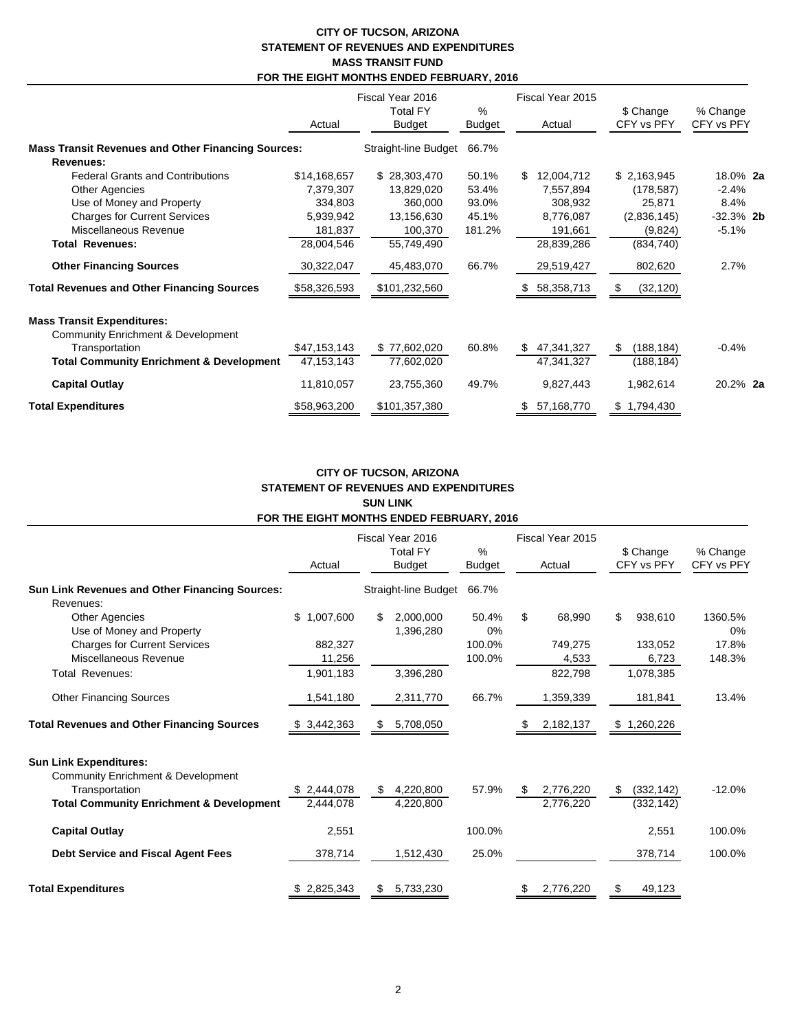#### **CITY OF TUCSON, ARIZONA STATEMENT OF REVENUES AND EXPENDITURES MASS TRANSIT FUND FOR THE EIGHT MONTHS ENDED FEBRUARY, 2016**

|                                                           | Actual       | Fiscal Year 2016<br><b>Total FY</b><br><b>Budget</b> | %<br><b>Budget</b> | Fiscal Year 2015<br>Actual | \$ Change<br>CFY vs PFY | % Change<br>CFY vs PFY |
|-----------------------------------------------------------|--------------|------------------------------------------------------|--------------------|----------------------------|-------------------------|------------------------|
| <b>Mass Transit Revenues and Other Financing Sources:</b> |              | Straight-line Budget                                 | 66.7%              |                            |                         |                        |
| Revenues:                                                 |              |                                                      |                    |                            |                         |                        |
| <b>Federal Grants and Contributions</b>                   | \$14,168,657 | \$28,303,470                                         | 50.1%              | 12,004,712<br>S.           | \$2,163,945             | 18.0% 2a               |
| <b>Other Agencies</b>                                     | 7,379,307    | 13,829,020                                           | 53.4%              | 7,557,894                  | (178, 587)              | $-2.4%$                |
| Use of Money and Property                                 | 334,803      | 360,000                                              | 93.0%              | 308,932                    | 25,871                  | 8.4%                   |
| <b>Charges for Current Services</b>                       | 5,939,942    | 13,156,630                                           | 45.1%              | 8,776,087                  | (2,836,145)             | $-32.3%$ 2b            |
| Miscellaneous Revenue                                     | 181,837      | 100,370                                              | 181.2%             | 191,661                    | (9,824)                 | $-5.1%$                |
| <b>Total Revenues:</b>                                    | 28,004,546   | 55,749,490                                           |                    | 28,839,286                 | (834,740)               |                        |
| <b>Other Financing Sources</b>                            | 30,322,047   | 45,483,070                                           | 66.7%              | 29,519,427                 | 802,620                 | 2.7%                   |
| <b>Total Revenues and Other Financing Sources</b>         | \$58,326,593 | \$101,232,560                                        |                    | 58,358,713<br>\$.          | (32, 120)<br>S          |                        |
| <b>Mass Transit Expenditures:</b>                         |              |                                                      |                    |                            |                         |                        |
| <b>Community Enrichment &amp; Development</b>             |              |                                                      |                    |                            |                         |                        |
| Transportation                                            | \$47,153,143 | \$77,602,020                                         | 60.8%              | 47,341,327<br>\$.          | (188, 184)<br>\$.       | $-0.4%$                |
| <b>Total Community Enrichment &amp; Development</b>       | 47, 153, 143 | 77,602,020                                           |                    | 47,341,327                 | (188, 184)              |                        |
| <b>Capital Outlay</b>                                     | 11,810,057   | 23,755,360                                           | 49.7%              | 9,827,443                  | 1,982,614               | 20.2% 2a               |
| <b>Total Expenditures</b>                                 | \$58,963,200 | \$101,357,380                                        |                    | 57,168,770                 | \$1,794,430             |                        |

## **CITY OF TUCSON, ARIZONA STATEMENT OF REVENUES AND EXPENDITURES SUN LINK FOR THE EIGHT MONTHS ENDED FEBRUARY, 2016**

|                                                                                | Fiscal Year 2016<br><b>Total FY</b><br><b>Budget</b><br>Actual |                               | %<br><b>Budget</b> | Fiscal Year 2015<br>Actual    | \$ Change<br>CFY vs PFY        | % Change<br>CFY vs PFY |  |
|--------------------------------------------------------------------------------|----------------------------------------------------------------|-------------------------------|--------------------|-------------------------------|--------------------------------|------------------------|--|
| Sun Link Revenues and Other Financing Sources:<br>Revenues:                    |                                                                | Straight-line Budget          | 66.7%              |                               |                                |                        |  |
| <b>Other Agencies</b><br>Use of Money and Property                             | \$1,007,600                                                    | 2,000,000<br>\$<br>1,396,280  | 50.4%<br>0%        | \$<br>68,990                  | 938,610<br>\$                  | 1360.5%<br>0%          |  |
| <b>Charges for Current Services</b><br>Miscellaneous Revenue                   | 882,327<br>11,256                                              |                               | 100.0%<br>100.0%   | 749,275<br>4,533              | 133,052<br>6,723               | 17.8%<br>148.3%        |  |
| <b>Total Revenues:</b>                                                         | 1,901,183                                                      | 3,396,280                     |                    | 822,798                       | 1,078,385                      |                        |  |
| <b>Other Financing Sources</b>                                                 | 1,541,180                                                      | 2,311,770                     | 66.7%              | 1,359,339                     | 181,841                        | 13.4%                  |  |
| <b>Total Revenues and Other Financing Sources</b>                              | \$3,442,363                                                    | 5,708,050<br>S.               |                    | 2,182,137                     | \$1,260,226                    |                        |  |
| <b>Sun Link Expenditures:</b><br><b>Community Enrichment &amp; Development</b> |                                                                |                               |                    |                               |                                |                        |  |
| Transportation<br><b>Total Community Enrichment &amp; Development</b>          | \$2,444,078<br>2,444,078                                       | 4,220,800<br>\$.<br>4,220,800 | 57.9%              | 2,776,220<br>\$.<br>2,776,220 | (332, 142)<br>\$<br>(332, 142) | $-12.0%$               |  |
| <b>Capital Outlay</b>                                                          | 2,551                                                          |                               | 100.0%             |                               | 2,551                          | 100.0%                 |  |
| <b>Debt Service and Fiscal Agent Fees</b>                                      | 378,714                                                        | 1,512,430                     | 25.0%              |                               | 378,714                        | 100.0%                 |  |
| <b>Total Expenditures</b>                                                      | \$2,825,343                                                    | 5,733,230                     |                    | 2,776,220                     | 49,123                         |                        |  |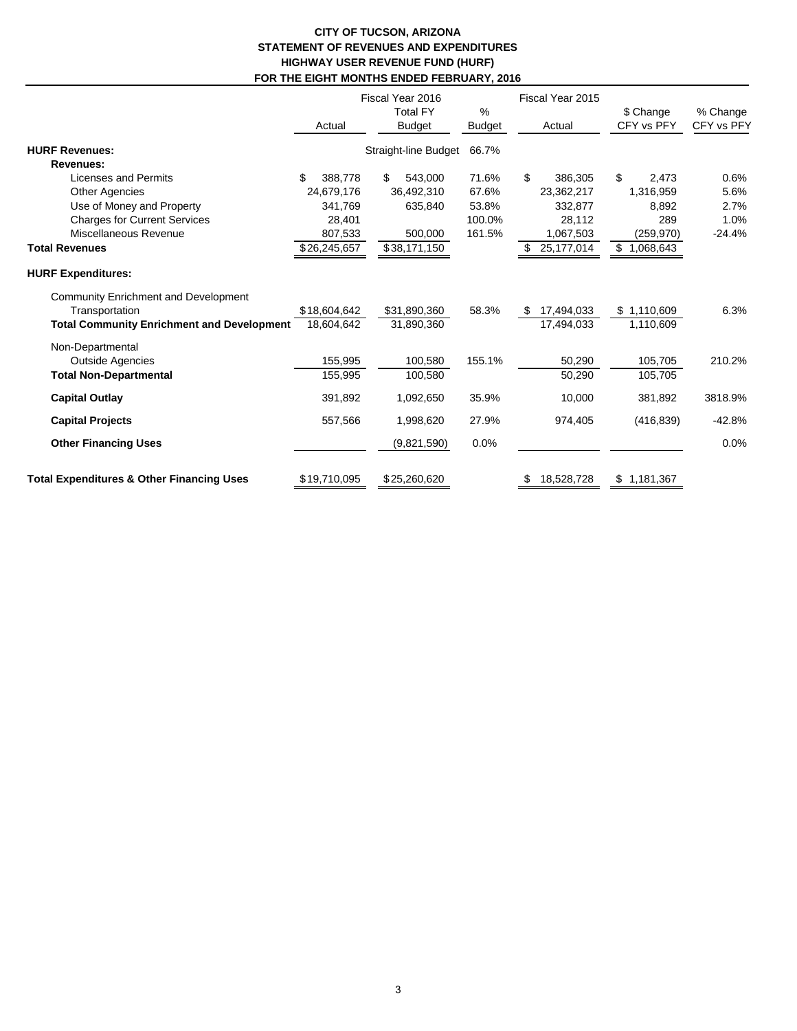## **CITY OF TUCSON, ARIZONA STATEMENT OF REVENUES AND EXPENDITURES HIGHWAY USER REVENUE FUND (HURF) FOR THE EIGHT MONTHS ENDED FEBRUARY, 2016**

|                                                                                                                    | Actual                     | Fiscal Year 2016<br><b>Total FY</b><br><b>Budget</b> | $\frac{0}{0}$<br><b>Budget</b> | Fiscal Year 2015<br>Actual | \$ Change<br>CFY vs PFY  | % Change<br>CFY vs PFY |
|--------------------------------------------------------------------------------------------------------------------|----------------------------|------------------------------------------------------|--------------------------------|----------------------------|--------------------------|------------------------|
| <b>HURF Revenues:</b>                                                                                              |                            | Straight-line Budget                                 | 66.7%                          |                            |                          |                        |
| <b>Revenues:</b>                                                                                                   | \$                         |                                                      |                                |                            |                          |                        |
| Licenses and Permits                                                                                               | 388,778                    | 543,000<br>\$                                        | 71.6%                          | \$<br>386,305              | \$<br>2,473              | 0.6%                   |
| <b>Other Agencies</b>                                                                                              | 24,679,176                 | 36,492,310                                           | 67.6%                          | 23,362,217                 | 1,316,959                | 5.6%                   |
| Use of Money and Property                                                                                          | 341,769                    | 635,840                                              | 53.8%                          | 332,877                    | 8,892                    | 2.7%                   |
| <b>Charges for Current Services</b>                                                                                | 28,401                     |                                                      | 100.0%                         | 28,112                     | 289                      | 1.0%                   |
| Miscellaneous Revenue                                                                                              | 807,533                    | 500,000                                              | 161.5%                         | 1,067,503                  | (259, 970)               | $-24.4%$               |
| <b>Total Revenues</b>                                                                                              | $\overline{$26,245,657}$   | \$38,171,150                                         |                                | 25, 177, 014<br>S          | 1,068,643<br>S.          |                        |
| <b>HURF Expenditures:</b>                                                                                          |                            |                                                      |                                |                            |                          |                        |
| <b>Community Enrichment and Development</b><br>Transportation<br><b>Total Community Enrichment and Development</b> | \$18,604,642<br>18,604,642 | \$31,890,360<br>31,890,360                           | 58.3%                          | 17,494,033<br>17,494,033   | \$1,110,609<br>1,110,609 | 6.3%                   |
|                                                                                                                    |                            |                                                      |                                |                            |                          |                        |
| Non-Departmental<br><b>Outside Agencies</b><br><b>Total Non-Departmental</b>                                       | 155,995<br>155,995         | 100,580<br>100,580                                   | 155.1%                         | 50,290<br>50,290           | 105,705<br>105,705       | 210.2%                 |
| <b>Capital Outlay</b>                                                                                              | 391,892                    | 1,092,650                                            | 35.9%                          | 10,000                     | 381,892                  | 3818.9%                |
| <b>Capital Projects</b>                                                                                            | 557,566                    | 1,998,620                                            | 27.9%                          | 974,405                    | (416, 839)               | $-42.8%$               |
| <b>Other Financing Uses</b>                                                                                        |                            | (9,821,590)                                          | 0.0%                           |                            |                          | 0.0%                   |
| <b>Total Expenditures &amp; Other Financing Uses</b>                                                               | \$19,710,095               | \$25,260,620                                         |                                | 18,528,728<br>\$           | \$1,181,367              |                        |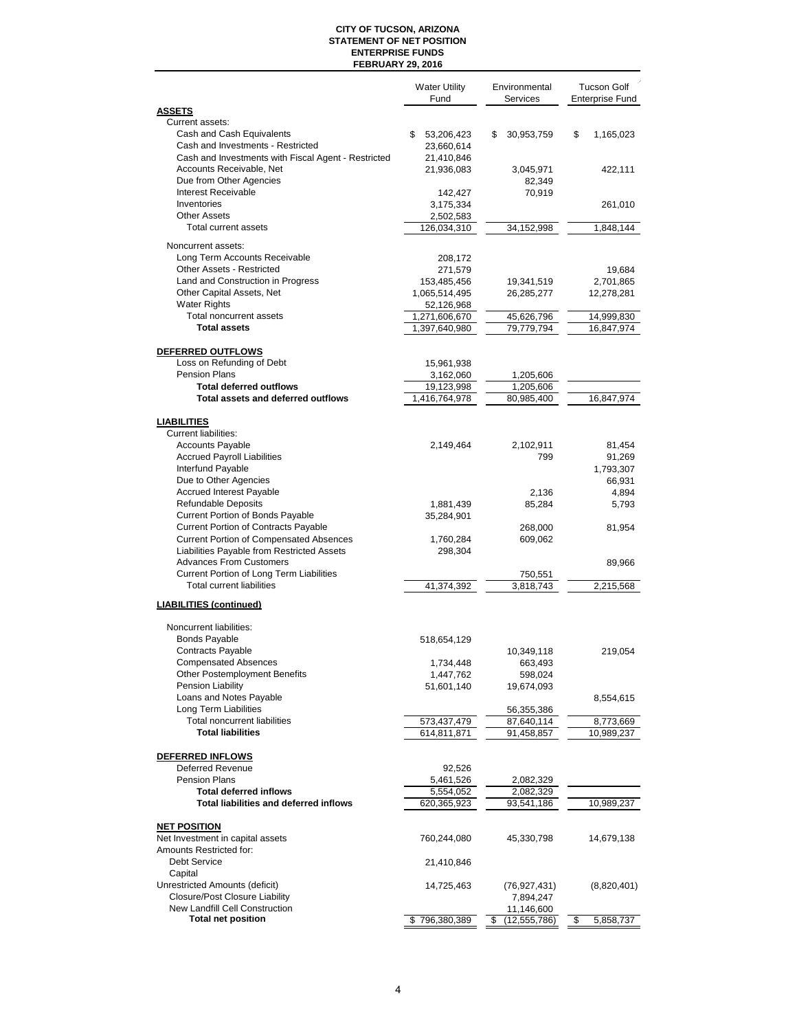#### **CITY OF TUCSON, ARIZONA STATEMENT OF NET POSITION ENTERPRISE FUNDS FEBRUARY 29, 2016**

|                                                                                 | <b>Water Utility</b><br>Fund | Environmental<br><b>Services</b> | <b>Tucson Golf</b><br><b>Enterprise Fund</b> |
|---------------------------------------------------------------------------------|------------------------------|----------------------------------|----------------------------------------------|
| <b>ASSETS</b>                                                                   |                              |                                  |                                              |
| Current assets:                                                                 |                              |                                  |                                              |
| Cash and Cash Equivalents                                                       | 53,206,423<br>\$             | \$<br>30,953,759                 | \$<br>1,165,023                              |
| Cash and Investments - Restricted                                               | 23,660,614                   |                                  |                                              |
| Cash and Investments with Fiscal Agent - Restricted<br>Accounts Receivable, Net | 21,410,846<br>21,936,083     |                                  |                                              |
| Due from Other Agencies                                                         |                              | 3,045,971<br>82,349              | 422,111                                      |
| <b>Interest Receivable</b>                                                      | 142,427                      | 70,919                           |                                              |
| Inventories                                                                     | 3,175,334                    |                                  | 261,010                                      |
| <b>Other Assets</b>                                                             | 2,502,583                    |                                  |                                              |
| Total current assets                                                            | 126,034,310                  | 34,152,998                       | 1,848,144                                    |
|                                                                                 |                              |                                  |                                              |
| Noncurrent assets:<br>Long Term Accounts Receivable                             | 208,172                      |                                  |                                              |
| Other Assets - Restricted                                                       | 271,579                      |                                  | 19,684                                       |
| Land and Construction in Progress                                               | 153,485,456                  | 19,341,519                       | 2,701,865                                    |
| Other Capital Assets, Net                                                       | 1,065,514,495                | 26,285,277                       | 12,278,281                                   |
| <b>Water Rights</b>                                                             | 52,126,968                   |                                  |                                              |
| <b>Total noncurrent assets</b>                                                  | 1,271,606,670                | 45,626,796                       | 14,999,830                                   |
| <b>Total assets</b>                                                             | 1,397,640,980                | 79,779,794                       | 16,847,974                                   |
|                                                                                 |                              |                                  |                                              |
| DEFERRED OUTFLOWS                                                               |                              |                                  |                                              |
| Loss on Refunding of Debt                                                       | 15,961,938                   |                                  |                                              |
| Pension Plans                                                                   | 3,162,060                    | 1,205,606                        |                                              |
| <b>Total deferred outflows</b>                                                  | 19,123,998                   | 1,205,606                        |                                              |
| Total assets and deferred outflows                                              | 1,416,764,978                | 80,985,400                       | 16,847,974                                   |
| <b>LIABILITIES</b>                                                              |                              |                                  |                                              |
| Current liabilities:                                                            |                              |                                  |                                              |
| <b>Accounts Payable</b>                                                         | 2,149,464                    | 2,102,911                        | 81,454                                       |
| <b>Accrued Payroll Liabilities</b>                                              |                              | 799                              | 91,269                                       |
| Interfund Payable                                                               |                              |                                  | 1,793,307                                    |
| Due to Other Agencies                                                           |                              |                                  | 66,931                                       |
| <b>Accrued Interest Payable</b>                                                 |                              | 2,136                            | 4,894                                        |
| <b>Refundable Deposits</b>                                                      | 1,881,439                    | 85,284                           | 5,793                                        |
| Current Portion of Bonds Payable                                                | 35,284,901                   |                                  |                                              |
| Current Portion of Contracts Payable                                            |                              | 268,000                          | 81,954                                       |
| <b>Current Portion of Compensated Absences</b>                                  | 1,760,284                    | 609,062                          |                                              |
| Liabilities Payable from Restricted Assets                                      | 298,304                      |                                  |                                              |
| <b>Advances From Customers</b>                                                  |                              |                                  | 89,966                                       |
| <b>Current Portion of Long Term Liabilities</b>                                 |                              | 750,551                          |                                              |
| <b>Total current liabilities</b>                                                | 41,374,392                   | 3,818,743                        | 2,215,568                                    |
| <b>LIABILITIES (continued)</b>                                                  |                              |                                  |                                              |
|                                                                                 |                              |                                  |                                              |
| Noncurrent liabilities:<br><b>Bonds Payable</b>                                 |                              |                                  |                                              |
| Contracts Payable                                                               | 518,654,129                  |                                  |                                              |
| Compensated Absences                                                            | 1,734,448                    | 10,349,118<br>663,493            | 219,054                                      |
| Other Postemployment Benefits                                                   | 1,447,762                    | 598,024                          |                                              |
| Pension Liability                                                               | 51,601,140                   | 19,674,093                       |                                              |
| Loans and Notes Payable                                                         |                              |                                  | 8,554,615                                    |
| Long Term Liabilities                                                           |                              | 56,355,386                       |                                              |
| <b>Total noncurrent liabilities</b>                                             | 573,437,479                  | 87,640,114                       | 8,773,669                                    |
| <b>Total liabilities</b>                                                        | 614,811,871                  | 91,458,857                       | 10,989,237                                   |
|                                                                                 |                              |                                  |                                              |
| DEFERRED INFLOWS                                                                |                              |                                  |                                              |
| <b>Deferred Revenue</b>                                                         | 92,526                       |                                  |                                              |
| <b>Pension Plans</b>                                                            | 5,461,526                    | 2,082,329                        |                                              |
| <b>Total deferred inflows</b><br><b>Total liabilities and deferred inflows</b>  | 5,554,052                    | 2,082,329                        |                                              |
|                                                                                 | 620,365,923                  | 93,541,186                       | 10,989,237                                   |
| <b>NET POSITION</b>                                                             |                              |                                  |                                              |
| Net Investment in capital assets                                                | 760,244,080                  | 45,330,798                       | 14,679,138                                   |
| Amounts Restricted for:                                                         |                              |                                  |                                              |
| <b>Debt Service</b>                                                             | 21,410,846                   |                                  |                                              |
| Capital                                                                         |                              |                                  |                                              |
| Unrestricted Amounts (deficit)                                                  | 14,725,463                   | (76, 927, 431)                   | (8,820,401)                                  |
| <b>Closure/Post Closure Liability</b>                                           |                              | 7,894,247                        |                                              |
| New Landfill Cell Construction                                                  |                              | 11,146,600                       |                                              |
| <b>Total net position</b>                                                       | \$796,380,389                | \$<br>(12, 555, 786)             | \$<br>5,858,737                              |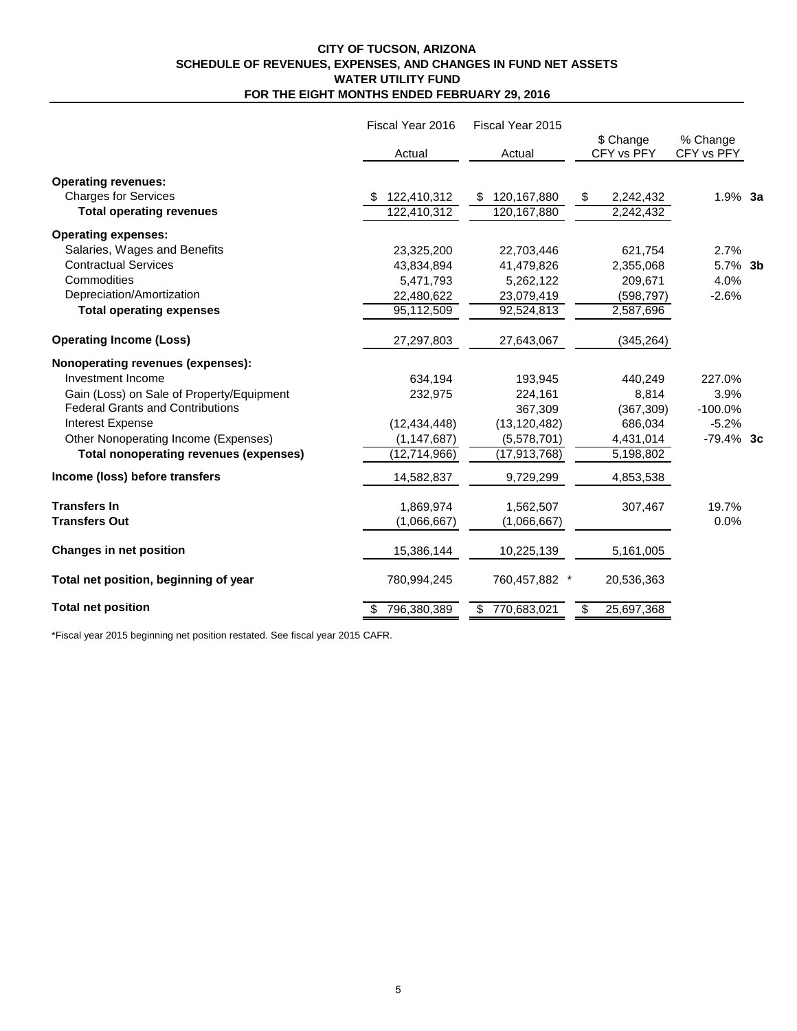#### **CITY OF TUCSON, ARIZONA SCHEDULE OF REVENUES, EXPENSES, AND CHANGES IN FUND NET ASSETS WATER UTILITY FUND FOR THE EIGHT MONTHS ENDED FEBRUARY 29, 2016**

|                                               | Fiscal Year 2016 | Fiscal Year 2015      |                         |                        |  |
|-----------------------------------------------|------------------|-----------------------|-------------------------|------------------------|--|
|                                               | Actual           | Actual                | \$ Change<br>CFY vs PFY | % Change<br>CFY vs PFY |  |
| <b>Operating revenues:</b>                    |                  |                       |                         |                        |  |
| <b>Charges for Services</b>                   | 122,410,312      | 120,167,880<br>\$     | 2,242,432<br>\$         | $1.9\%$ 3a             |  |
| <b>Total operating revenues</b>               | 122,410,312      | 120,167,880           | 2,242,432               |                        |  |
| <b>Operating expenses:</b>                    |                  |                       |                         |                        |  |
| Salaries, Wages and Benefits                  | 23,325,200       | 22,703,446            | 621,754                 | 2.7%                   |  |
| <b>Contractual Services</b>                   | 43,834,894       | 41,479,826            | 2,355,068               | 5.7% 3b                |  |
| Commodities                                   | 5,471,793        | 5,262,122             | 209,671                 | 4.0%                   |  |
| Depreciation/Amortization                     | 22,480,622       | 23,079,419            | (598, 797)              | $-2.6%$                |  |
| <b>Total operating expenses</b>               | 95,112,509       | 92,524,813            | 2,587,696               |                        |  |
| <b>Operating Income (Loss)</b>                | 27,297,803       | 27,643,067            | (345, 264)              |                        |  |
| Nonoperating revenues (expenses):             |                  |                       |                         |                        |  |
| Investment Income                             | 634,194          | 193,945               | 440,249                 | 227.0%                 |  |
| Gain (Loss) on Sale of Property/Equipment     | 232,975          | 224,161               | 8,814                   | 3.9%                   |  |
| <b>Federal Grants and Contributions</b>       |                  | 367,309               | (367, 309)              | $-100.0%$              |  |
| Interest Expense                              | (12, 434, 448)   | (13, 120, 482)        | 686,034                 | $-5.2%$                |  |
| Other Nonoperating Income (Expenses)          | (1, 147, 687)    | (5,578,701)           | 4,431,014               | $-79.4\%$ 3c           |  |
| <b>Total nonoperating revenues (expenses)</b> | (12, 714, 966)   | (17, 913, 768)        | 5,198,802               |                        |  |
| Income (loss) before transfers                | 14,582,837       | 9,729,299             | 4,853,538               |                        |  |
| <b>Transfers In</b>                           | 1,869,974        | 1,562,507             | 307,467                 | 19.7%                  |  |
| <b>Transfers Out</b>                          | (1,066,667)      | (1,066,667)           |                         | 0.0%                   |  |
| <b>Changes in net position</b>                | 15,386,144       | 10,225,139            | 5,161,005               |                        |  |
| Total net position, beginning of year         | 780,994,245      | 760,457,882<br>$\ast$ | 20,536,363              |                        |  |
| <b>Total net position</b>                     | 796,380,389      | \$770,683,021         | 25,697,368<br>\$        |                        |  |

\*Fiscal year 2015 beginning net position restated. See fiscal year 2015 CAFR.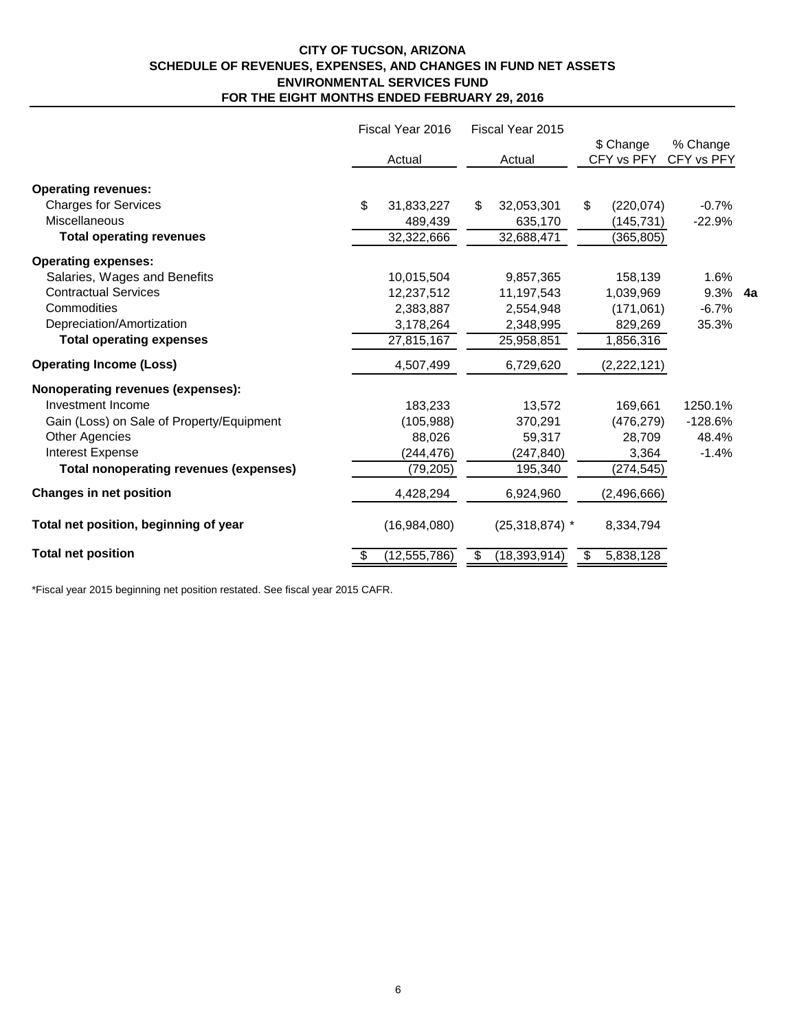# **CITY OF TUCSON, ARIZONA SCHEDULE OF REVENUES, EXPENSES, AND CHANGES IN FUND NET ASSETS ENVIRONMENTAL SERVICES FUND FOR THE EIGHT MONTHS ENDED FEBRUARY 29, 2016**

|                                               | Fiscal Year 2016<br>Fiscal Year 2015 |                |    |                  |    |                         |                        |    |
|-----------------------------------------------|--------------------------------------|----------------|----|------------------|----|-------------------------|------------------------|----|
|                                               |                                      | Actual         |    | Actual           |    | \$ Change<br>CFY vs PFY | % Change<br>CFY vs PFY |    |
| <b>Operating revenues:</b>                    |                                      |                |    |                  |    |                         |                        |    |
| <b>Charges for Services</b>                   | \$                                   | 31,833,227     | \$ | 32,053,301       | \$ | (220, 074)              | $-0.7%$                |    |
| Miscellaneous                                 |                                      | 489,439        |    | 635,170          |    | (145, 731)              | $-22.9%$               |    |
| <b>Total operating revenues</b>               |                                      | 32,322,666     |    | 32,688,471       |    | (365, 805)              |                        |    |
| <b>Operating expenses:</b>                    |                                      |                |    |                  |    |                         |                        |    |
| Salaries, Wages and Benefits                  |                                      | 10,015,504     |    | 9,857,365        |    | 158,139                 | 1.6%                   |    |
| <b>Contractual Services</b>                   |                                      | 12,237,512     |    | 11,197,543       |    | 1,039,969               | 9.3%                   | 4а |
| Commodities                                   |                                      | 2,383,887      |    | 2,554,948        |    | (171,061)               | $-6.7%$                |    |
| Depreciation/Amortization                     |                                      | 3,178,264      |    | 2,348,995        |    | 829,269                 | 35.3%                  |    |
| <b>Total operating expenses</b>               |                                      | 27,815,167     |    | 25,958,851       |    | 1,856,316               |                        |    |
| <b>Operating Income (Loss)</b>                |                                      | 4,507,499      |    | 6,729,620        |    | (2,222,121)             |                        |    |
| Nonoperating revenues (expenses):             |                                      |                |    |                  |    |                         |                        |    |
| Investment Income                             |                                      | 183,233        |    | 13,572           |    | 169,661                 | 1250.1%                |    |
| Gain (Loss) on Sale of Property/Equipment     |                                      | (105, 988)     |    | 370,291          |    | (476, 279)              | $-128.6%$              |    |
| <b>Other Agencies</b>                         |                                      | 88,026         |    | 59,317           |    | 28,709                  | 48.4%                  |    |
| Interest Expense                              |                                      | (244, 476)     |    | (247, 840)       |    | 3,364                   | $-1.4%$                |    |
| <b>Total nonoperating revenues (expenses)</b> |                                      | (79, 205)      |    | 195,340          |    | (274, 545)              |                        |    |
| <b>Changes in net position</b>                |                                      | 4,428,294      |    | 6,924,960        |    | (2,496,666)             |                        |    |
| Total net position, beginning of year         |                                      | (16,984,080)   |    | $(25,318,874)$ * |    | 8,334,794               |                        |    |
| <b>Total net position</b>                     | S                                    | (12, 555, 786) | S  | (18, 393, 914)   | S  | 5,838,128               |                        |    |

\*Fiscal year 2015 beginning net position restated. See fiscal year 2015 CAFR.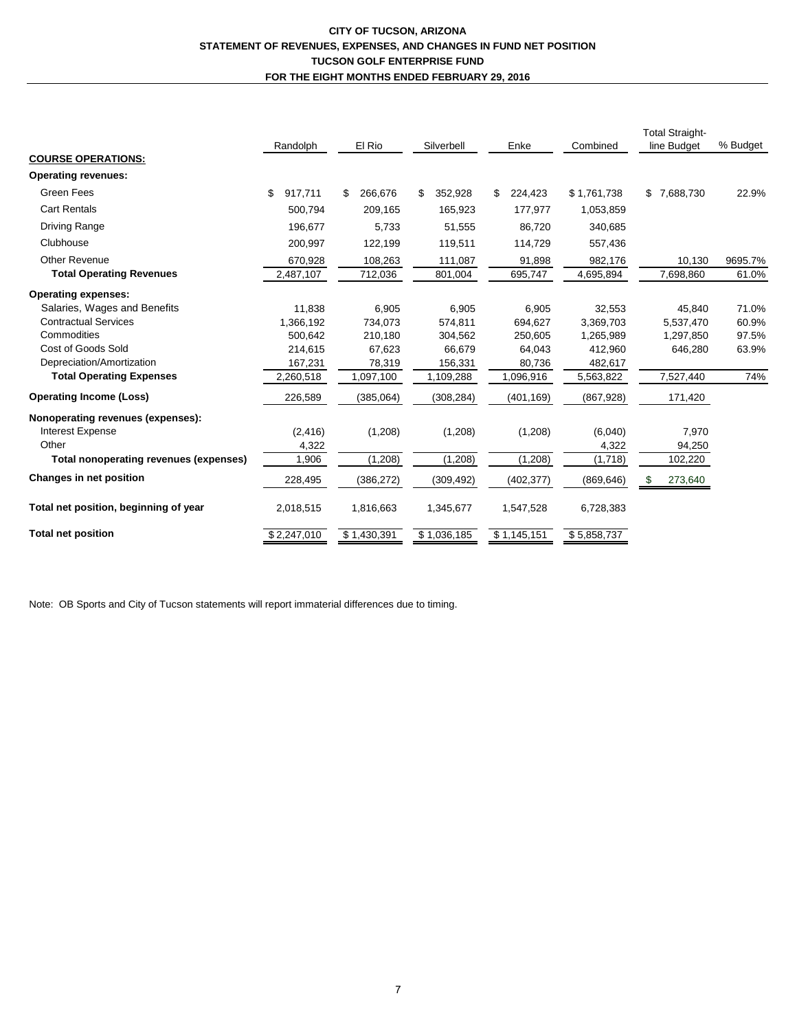# **CITY OF TUCSON, ARIZONA STATEMENT OF REVENUES, EXPENSES, AND CHANGES IN FUND NET POSITION TUCSON GOLF ENTERPRISE FUND FOR THE EIGHT MONTHS ENDED FEBRUARY 29, 2016**

|                                        | Randolph      | El Rio        | Silverbell    | Enke          | Combined    | <b>Total Straight-</b><br>line Budget | % Budget |
|----------------------------------------|---------------|---------------|---------------|---------------|-------------|---------------------------------------|----------|
| <b>COURSE OPERATIONS:</b>              |               |               |               |               |             |                                       |          |
| <b>Operating revenues:</b>             |               |               |               |               |             |                                       |          |
| Green Fees                             | \$<br>917,711 | 266,676<br>\$ | \$<br>352,928 | \$<br>224,423 | \$1,761,738 | \$7,688,730                           | 22.9%    |
| <b>Cart Rentals</b>                    | 500,794       | 209,165       | 165,923       | 177,977       | 1,053,859   |                                       |          |
| <b>Driving Range</b>                   | 196,677       | 5,733         | 51,555        | 86,720        | 340,685     |                                       |          |
| Clubhouse                              | 200,997       | 122,199       | 119,511       | 114,729       | 557,436     |                                       |          |
| <b>Other Revenue</b>                   | 670,928       | 108,263       | 111,087       | 91,898        | 982,176     | 10,130                                | 9695.7%  |
| <b>Total Operating Revenues</b>        | 2,487,107     | 712,036       | 801,004       | 695,747       | 4,695,894   | 7,698,860                             | 61.0%    |
| <b>Operating expenses:</b>             |               |               |               |               |             |                                       |          |
| Salaries, Wages and Benefits           | 11.838        | 6,905         | 6,905         | 6,905         | 32,553      | 45,840                                | 71.0%    |
| <b>Contractual Services</b>            | 1,366,192     | 734,073       | 574,811       | 694.627       | 3,369,703   | 5,537,470                             | 60.9%    |
| Commodities                            | 500,642       | 210,180       | 304,562       | 250,605       | 1,265,989   | 1,297,850                             | 97.5%    |
| Cost of Goods Sold                     | 214,615       | 67,623        | 66,679        | 64,043        | 412,960     | 646,280                               | 63.9%    |
| Depreciation/Amortization              | 167,231       | 78,319        | 156,331       | 80,736        | 482,617     |                                       |          |
| <b>Total Operating Expenses</b>        | 2,260,518     | 1,097,100     | 1,109,288     | 1,096,916     | 5,563,822   | 7,527,440                             | 74%      |
| <b>Operating Income (Loss)</b>         | 226,589       | (385,064)     | (308, 284)    | (401, 169)    | (867, 928)  | 171,420                               |          |
| Nonoperating revenues (expenses):      |               |               |               |               |             |                                       |          |
| <b>Interest Expense</b>                | (2, 416)      | (1,208)       | (1,208)       | (1,208)       | (6,040)     | 7,970                                 |          |
| Other                                  | 4,322         |               |               |               | 4,322       | 94,250                                |          |
| Total nonoperating revenues (expenses) | 1,906         | (1,208)       | (1,208)       | (1,208)       | (1,718)     | 102,220                               |          |
| <b>Changes in net position</b>         | 228,495       | (386, 272)    | (309, 492)    | (402, 377)    | (869, 646)  | 273,640<br>\$                         |          |
| Total net position, beginning of year  | 2,018,515     | 1,816,663     | 1,345,677     | 1,547,528     | 6,728,383   |                                       |          |
| <b>Total net position</b>              | \$2,247,010   | \$1,430,391   | \$1,036,185   | \$1,145,151   | \$5,858,737 |                                       |          |

Note: OB Sports and City of Tucson statements will report immaterial differences due to timing.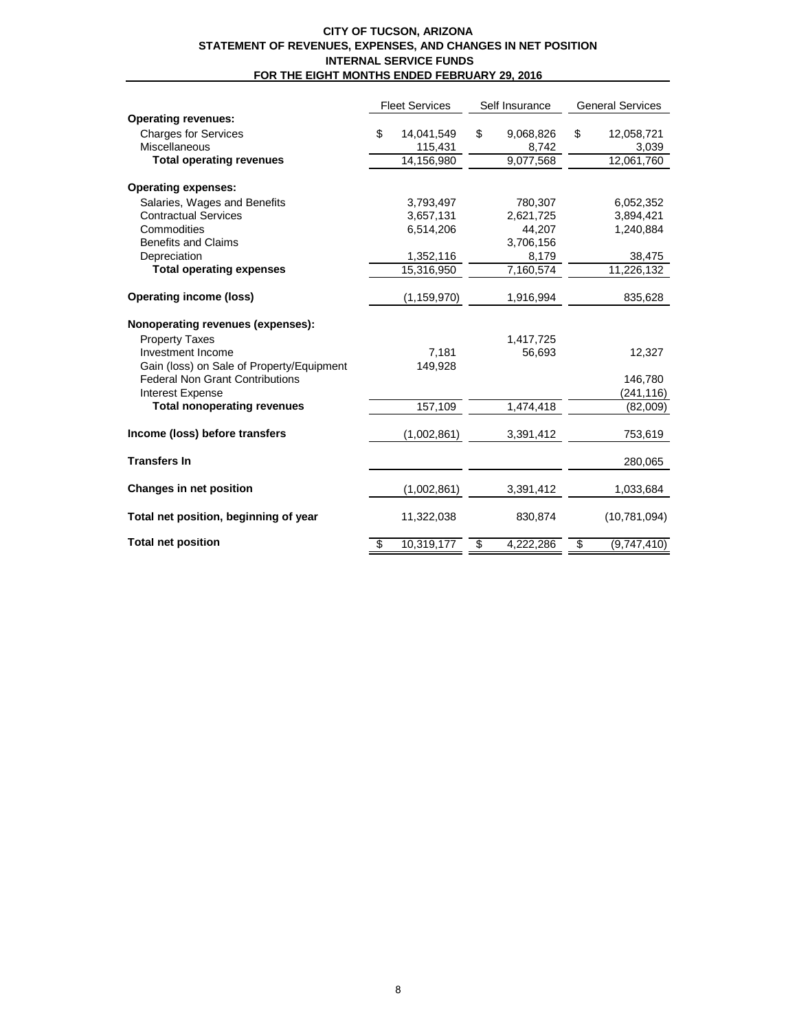#### **CITY OF TUCSON, ARIZONA STATEMENT OF REVENUES, EXPENSES, AND CHANGES IN NET POSITION INTERNAL SERVICE FUNDS FOR THE EIGHT MONTHS ENDED FEBRUARY 29, 2016**

|                                           | <b>Fleet Services</b> |               | Self Insurance |           | <b>General Services</b> |                |  |
|-------------------------------------------|-----------------------|---------------|----------------|-----------|-------------------------|----------------|--|
| <b>Operating revenues:</b>                |                       |               |                |           |                         |                |  |
| <b>Charges for Services</b>               | \$                    | 14,041,549    | \$             | 9,068,826 | \$                      | 12,058,721     |  |
| Miscellaneous                             |                       | 115,431       |                | 8,742     |                         | 3,039          |  |
| <b>Total operating revenues</b>           |                       | 14,156,980    |                | 9,077,568 |                         | 12,061,760     |  |
| <b>Operating expenses:</b>                |                       |               |                |           |                         |                |  |
| Salaries, Wages and Benefits              |                       | 3,793,497     |                | 780.307   |                         | 6.052,352      |  |
| <b>Contractual Services</b>               |                       | 3,657,131     |                | 2,621,725 |                         | 3,894,421      |  |
| Commodities                               |                       | 6,514,206     |                | 44,207    |                         | 1,240,884      |  |
| <b>Benefits and Claims</b>                |                       |               |                | 3,706,156 |                         |                |  |
| Depreciation                              |                       | 1,352,116     |                | 8,179     |                         | 38,475         |  |
| <b>Total operating expenses</b>           |                       | 15,316,950    |                | 7,160,574 |                         | 11,226,132     |  |
| <b>Operating income (loss)</b>            |                       | (1, 159, 970) |                | 1,916,994 |                         | 835,628        |  |
| Nonoperating revenues (expenses):         |                       |               |                |           |                         |                |  |
| <b>Property Taxes</b>                     |                       |               |                | 1,417,725 |                         |                |  |
| Investment Income                         |                       | 7,181         |                | 56,693    |                         | 12,327         |  |
| Gain (loss) on Sale of Property/Equipment |                       | 149,928       |                |           |                         |                |  |
| <b>Federal Non Grant Contributions</b>    |                       |               |                |           |                         | 146,780        |  |
| <b>Interest Expense</b>                   |                       |               |                |           |                         | (241, 116)     |  |
| <b>Total nonoperating revenues</b>        |                       | 157,109       |                | 1,474,418 |                         | (82,009)       |  |
| Income (loss) before transfers            |                       | (1,002,861)   |                | 3,391,412 |                         | 753,619        |  |
| <b>Transfers In</b>                       |                       |               |                |           |                         | 280,065        |  |
| Changes in net position                   |                       | (1,002,861)   |                | 3,391,412 |                         | 1,033,684      |  |
| Total net position, beginning of year     |                       | 11,322,038    |                | 830,874   |                         | (10, 781, 094) |  |
| <b>Total net position</b>                 | \$                    | 10,319,177    | \$             | 4,222,286 | \$                      | (9,747,410)    |  |